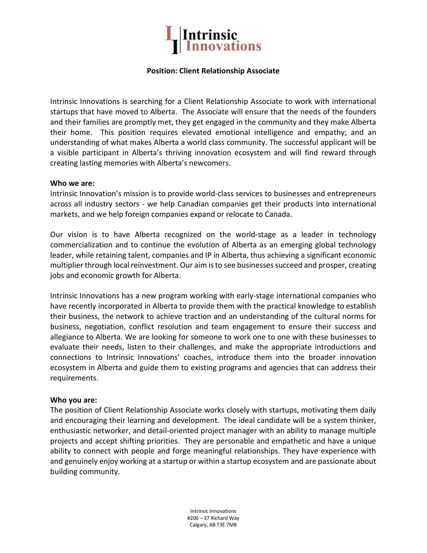

## Position: Client Relationship Associate

Intrinsic Innovations is searching for a Client Relationship Associate to work with international startups that have moved to Alberta. The Associate will ensure that the needs of the founders and their families are promptly met, they get engaged in the community and they make Alberta their home. This position requires elevated emotional intelligence and empathy; and an understanding of what makes Alberta a world class community. The successful applicant will be a visible participant in Alberta's thriving innovation ecosystem and will find reward through creating lasting memories with Alberta's newcomers.

## Who we are:

Intrinsic Innovation's mission is to provide world-class services to businesses and entrepreneurs across all industry sectors - we help Canadian companies get their products into international markets, and we help foreign companies expand or relocate to Canada.

Our vision is to have Alberta recognized on the world-stage as a leader in technology commercialization and to continue the evolution of Alberta as an emerging global technology leader, while retaining talent, companies and IP in Alberta, thus achieving a significant economic multiplier through local reinvestment. Our aim is to see businesses succeed and prosper, creating jobs and economic growth for Alberta.

Intrinsic Innovations has a new program working with early-stage international companies who have recently incorporated in Alberta to provide them with the practical knowledge to establish their business, the network to achieve traction and an understanding of the cultural norms for business, negotiation, conflict resolution and team engagement to ensure their success and allegiance to Alberta. We are looking for someone to work one to one with these businesses to evaluate their needs, listen to their challenges, and make the appropriate introductions and connections to Intrinsic Innovations' coaches, introduce them into the broader innovation ecosystem in Alberta and guide them to existing programs and agencies that can address their requirements.

## Who you are:

The position of Client Relationship Associate works closely with startups, motivating them daily and encouraging their learning and development. The ideal candidate will be a system thinker, enthusiastic networker, and detail-oriented project manager with an ability to manage multiple projects and accept shifting priorities. They are personable and empathetic and have a unique ability to connect with people and forge meaningful relationships. They have experience with and genuinely enjoy working at a startup or within a startup ecosystem and are passionate about building community.

> Intrinsic Innovations #200 – 37 Richard Way Calgary, AB T3E 7M8